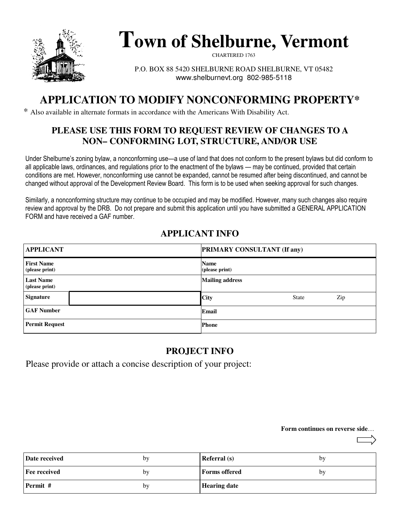

# **Town of Shelburne, Vermont**

CHARTERED 1763

P.O. BOX 88 5420 SHELBURNE ROAD SHELBURNE, VT 05482 www.shelburnevt.org 802-985-5118

# **APPLICATION TO MODIFY NONCONFORMING PROPERTY\***

\* Also available in alternate formats in accordance with the Americans With Disability Act.

### **PLEASE USE THIS FORM TO REQUEST REVIEW OF CHANGES TO A NON– CONFORMING LOT, STRUCTURE, AND/OR USE**

Under Shelburne's zoning bylaw, a nonconforming use—a use of land that does not conform to the present bylaws but did conform to all applicable laws, ordinances, and regulations prior to the enactment of the bylaws — may be continued, provided that certain conditions are met. However, nonconforming use cannot be expanded, cannot be resumed after being discontinued, and cannot be changed without approval of the Development Review Board. This form is to be used when seeking approval for such changes.

Similarly, a nonconforming structure may continue to be occupied and may be modified. However, many such changes also require review and approval by the DRB. Do not prepare and submit this application until you have submitted a GENERAL APPLICATION FORM and have received a GAF number.

### **APPLICANT INFO**

| <b>APPLICANT</b>                    | <b>PRIMARY CONSULTANT (If any)</b> |
|-------------------------------------|------------------------------------|
| <b>First Name</b><br>(please print) | <b>Name</b><br>(please print)      |
| <b>Last Name</b><br>(please print)  | <b>Mailing address</b>             |
| <b>Signature</b>                    | <b>City</b><br>Zip<br><b>State</b> |
| <b>GAF Number</b>                   | Email                              |
| <b>Permit Request</b>               | <b>Phone</b>                       |

### **PROJECT INFO**

Please provide or attach a concise description of your project:

#### **Form continues on reverse side**…

| Date received       | by | <b>Referral</b> (s) | by |
|---------------------|----|---------------------|----|
| <b>Fee received</b> | by | Forms offered       | by |
| Permit #            | by | <b>Hearing date</b> |    |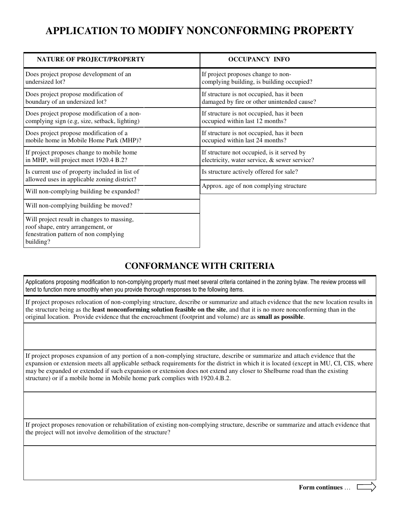# **APPLICATION TO MODIFY NONCONFORMING PROPERTY**

| NATURE OF PROJECT/PROPERTY                                                                                                            | <b>OCCUPANCY INFO</b>                                                             |
|---------------------------------------------------------------------------------------------------------------------------------------|-----------------------------------------------------------------------------------|
| Does project propose development of an                                                                                                | If project proposes change to non-                                                |
| undersized lot?                                                                                                                       | complying building, is building occupied?                                         |
| Does project propose modification of                                                                                                  | If structure is not occupied, has it been                                         |
| boundary of an undersized lot?                                                                                                        | damaged by fire or other unintended cause?                                        |
| Does project propose modification of a non-                                                                                           | If structure is not occupied, has it been                                         |
| complying sign (e.g. size, setback, lighting)                                                                                         | occupied within last 12 months?                                                   |
| Does project propose modification of a                                                                                                | If structure is not occupied, has it been                                         |
| mobile home in Mobile Home Park (MHP)?                                                                                                | occupied within last 24 months?                                                   |
| If project proposes change to mobile home                                                                                             | If structure not occupied, is it served by                                        |
| in MHP, will project meet 1920.4 B.2?                                                                                                 | electricity, water service, & sewer service?                                      |
| Is current use of property included in list of<br>allowed uses in applicable zoning district?                                         | Is structure actively offered for sale?<br>Approx. age of non complying structure |
| Will non-complying building be expanded?                                                                                              |                                                                                   |
| Will non-complying building be moved?                                                                                                 |                                                                                   |
| Will project result in changes to massing,<br>roof shape, entry arrangement, or<br>fenestration pattern of non complying<br>building? |                                                                                   |

### **CONFORMANCE WITH CRITERIA**

Applications proposing modification to non-complying property must meet several criteria contained in the zoning bylaw. The review process will tend to function more smoothly when you provide thorough responses to the following items.

If project proposes relocation of non-complying structure, describe or summarize and attach evidence that the new location results in the structure being as the **least nonconforming solution feasible on the site**, and that it is no more nonconforming than in the original location. Provide evidence that the encroachment (footprint and volume) are as **small as possible**.

If project proposes expansion of any portion of a non-complying structure, describe or summarize and attach evidence that the expansion or extension meets all applicable setback requirements for the district in which it is located (except in MU, CI, CIS, where may be expanded or extended if such expansion or extension does not extend any closer to Shelburne road than the existing structure) or if a mobile home in Mobile home park complies with 1920.4.B.2.

If project proposes renovation or rehabilitation of existing non-complying structure, describe or summarize and attach evidence that the project will not involve demolition of the structure?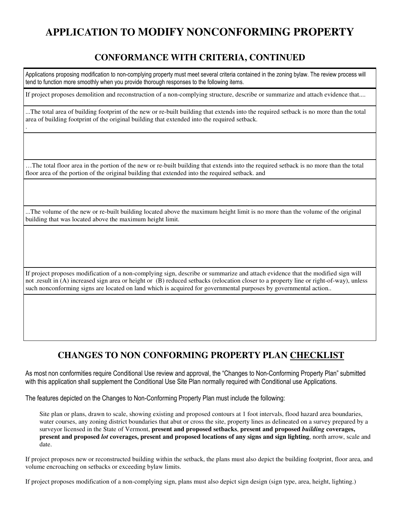# **APPLICATION TO MODIFY NONCONFORMING PROPERTY**

### **CONFORMANCE WITH CRITERIA, CONTINUED**

Applications proposing modification to non-complying property must meet several criteria contained in the zoning bylaw. The review process will tend to function more smoothly when you provide thorough responses to the following items.

If project proposes demolition and reconstruction of a non-complying structure, describe or summarize and attach evidence that....

...The total area of building footprint of the new or re-built building that extends into the required setback is no more than the total area of building footprint of the original building that extended into the required setback.

.

…The total floor area in the portion of the new or re-built building that extends into the required setback is no more than the total floor area of the portion of the original building that extended into the required setback. and

...The volume of the new or re-built building located above the maximum height limit is no more than the volume of the original building that was located above the maximum height limit.

If project proposes modification of a non-complying sign, describe or summarize and attach evidence that the modified sign will not .result in (A) increased sign area or height or (B) reduced setbacks (relocation closer to a property line or right-of-way), unless such nonconforming signs are located on land which is acquired for governmental purposes by governmental action..

### **CHANGES TO NON CONFORMING PROPERTY PLAN CHECKLIST**

As most non conformities require Conditional Use review and approval, the "Changes to Non-Conforming Property Plan" submitted with this application shall supplement the Conditional Use Site Plan normally required with Conditional use Applications.

The features depicted on the Changes to Non-Conforming Property Plan must include the following:

Site plan or plans, drawn to scale, showing existing and proposed contours at 1 foot intervals, flood hazard area boundaries, water courses, any zoning district boundaries that abut or cross the site, property lines as delineated on a survey prepared by a surveyor licensed in the State of Vermont, **present and proposed setbacks**, **present and proposed** *building* **coverages, present and proposed** *lot* **coverages, present and proposed locations of any signs and sign lighting**, north arrow, scale and date.

If project proposes new or reconstructed building within the setback, the plans must also depict the building footprint, floor area, and volume encroaching on setbacks or exceeding bylaw limits.

If project proposes modification of a non-complying sign, plans must also depict sign design (sign type, area, height, lighting.)